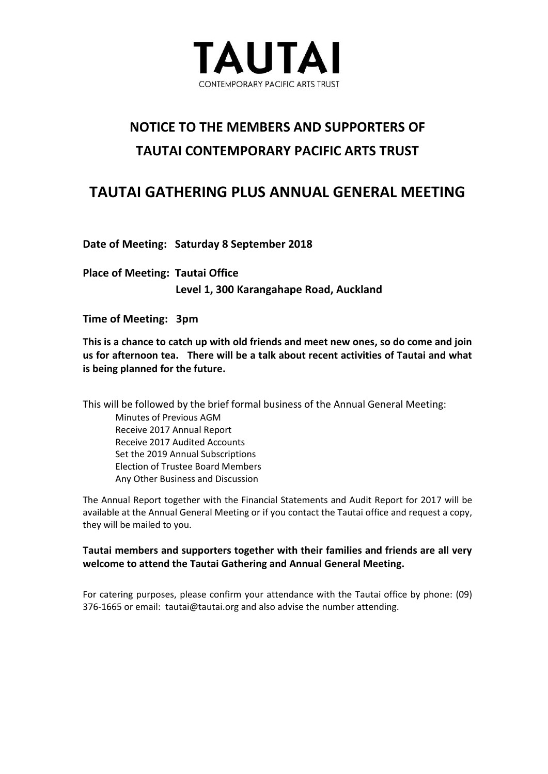

# **NOTICE TO THE MEMBERS AND SUPPORTERS OF TAUTAI CONTEMPORARY PACIFIC ARTS TRUST**

# **TAUTAI GATHERING PLUS ANNUAL GENERAL MEETING**

**Date of Meeting: Saturday 8 September 2018**

**Place of Meeting: Tautai Office Level 1, 300 Karangahape Road, Auckland**

**Time of Meeting: 3pm**

**This is a chance to catch up with old friends and meet new ones, so do come and join us for afternoon tea. There will be a talk about recent activities of Tautai and what is being planned for the future.** 

This will be followed by the brief formal business of the Annual General Meeting: Minutes of Previous AGM Receive 2017 Annual Report Receive 2017 Audited Accounts Set the 2019 Annual Subscriptions Election of Trustee Board Members Any Other Business and Discussion

The Annual Report together with the Financial Statements and Audit Report for 2017 will be available at the Annual General Meeting or if you contact the Tautai office and request a copy, they will be mailed to you.

### **Tautai members and supporters together with their families and friends are all very welcome to attend the Tautai Gathering and Annual General Meeting.**

For catering purposes, please confirm your attendance with the Tautai office by phone: (09) 376-1665 or email: [tautai@tautai.org](mailto:tautai@tautai.org) and also advise the number attending.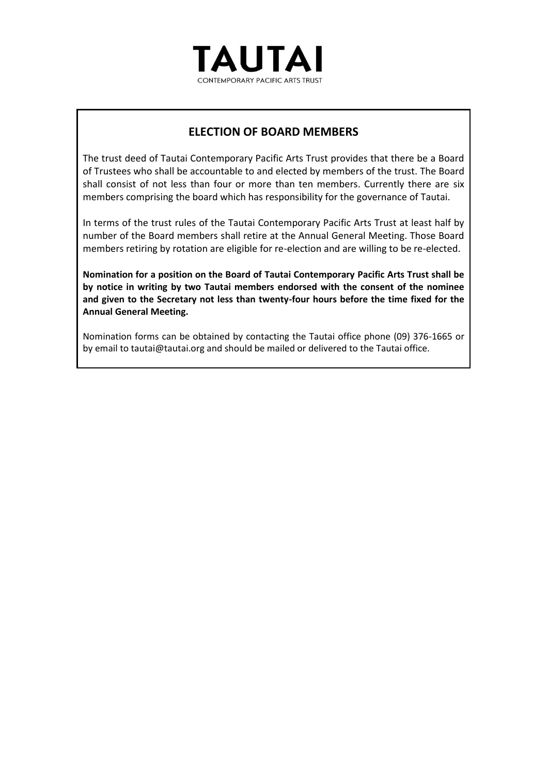

### **ELECTION OF BOARD MEMBERS**

The trust deed of Tautai Contemporary Pacific Arts Trust provides that there be a Board of Trustees who shall be accountable to and elected by members of the trust. The Board shall consist of not less than four or more than ten members. Currently there are six members comprising the board which has responsibility for the governance of Tautai.

In terms of the trust rules of the Tautai Contemporary Pacific Arts Trust at least half by number of the Board members shall retire at the Annual General Meeting. Those Board members retiring by rotation are eligible for re-election and are willing to be re-elected.

**Nomination for a position on the Board of Tautai Contemporary Pacific Arts Trust shall be by notice in writing by two Tautai members endorsed with the consent of the nominee and given to the Secretary not less than twenty-four hours before the time fixed for the Annual General Meeting.**

Nomination forms can be obtained by contacting the Tautai office phone (09) 376-1665 or by email to tautai@tautai.org and should be mailed or delivered to the Tautai office.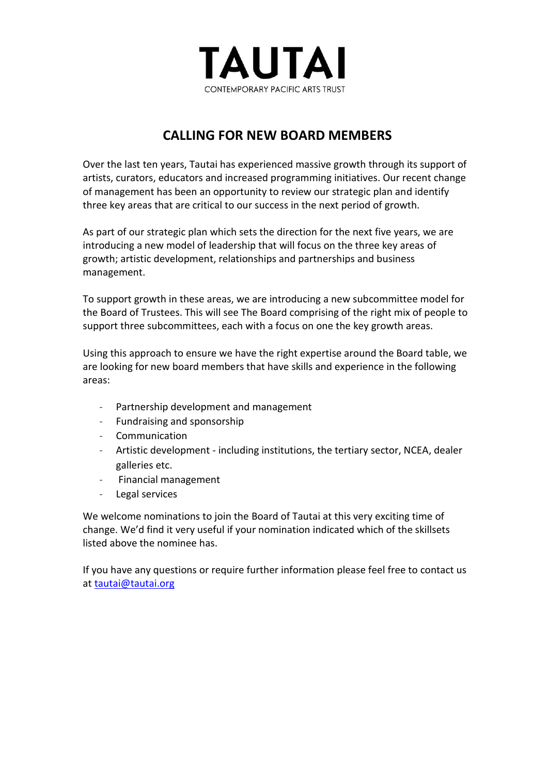

## **CALLING FOR NEW BOARD MEMBERS**

Over the last ten years, Tautai has experienced massive growth through its support of artists, curators, educators and increased programming initiatives. Our recent change of management has been an opportunity to review our strategic plan and identify three key areas that are critical to our success in the next period of growth.

As part of our strategic plan which sets the direction for the next five years, we are introducing a new model of leadership that will focus on the three key areas of growth; artistic development, relationships and partnerships and business management.

To support growth in these areas, we are introducing a new subcommittee model for the Board of Trustees. This will see The Board comprising of the right mix of people to support three subcommittees, each with a focus on one the key growth areas.

Using this approach to ensure we have the right expertise around the Board table, we are looking for new board members that have skills and experience in the following areas:

- Partnership development and management
- Fundraising and sponsorship
- Communication
- Artistic development including institutions, the tertiary sector, NCEA, dealer galleries etc.
- Financial management
- Legal services

We welcome nominations to join the Board of Tautai at this very exciting time of change. We'd find it very useful if your nomination indicated which of the skillsets listed above the nominee has.

If you have any questions or require further information please feel free to contact us at [tautai@tautai.org](mailto:tautai@tautai.org)